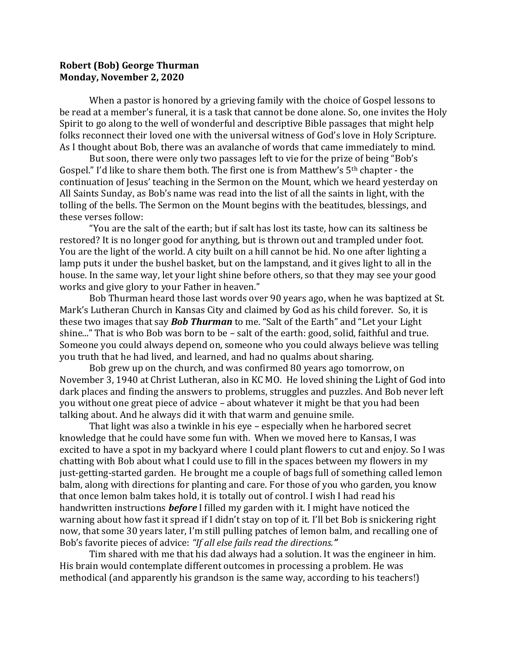## **Robert (Bob) George Thurman Monday, November 2, 2020**

When a pastor is honored by a grieving family with the choice of Gospel lessons to be read at a member's funeral, it is a task that cannot be done alone. So, one invites the Holy Spirit to go along to the well of wonderful and descriptive Bible passages that might help folks reconnect their loved one with the universal witness of God's love in Holy Scripture. As I thought about Bob, there was an avalanche of words that came immediately to mind.

But soon, there were only two passages left to vie for the prize of being "Bob's Gospel." I'd like to share them both. The first one is from Matthew's 5th chapter - the continuation of Jesus' teaching in the Sermon on the Mount, which we heard yesterday on All Saints Sunday, as Bob's name was read into the list of all the saints in light, with the tolling of the bells. The Sermon on the Mount begins with the beatitudes, blessings, and these verses follow:

"You are the salt of the earth; but if salt has lost its taste, how can its saltiness be restored? It is no longer good for anything, but is thrown out and trampled under foot. You are the light of the world. A city built on a hill cannot be hid. No one after lighting a lamp puts it under the bushel basket, but on the lampstand, and it gives light to all in the house. In the same way, let your light shine before others, so that they may see your good works and give glory to your Father in heaven."

Bob Thurman heard those last words over 90 years ago, when he was baptized at St. Mark's Lutheran Church in Kansas City and claimed by God as his child forever. So, it is these two images that say *Bob Thurman* to me. "Salt of the Earth" and "Let your Light shine..." That is who Bob was born to be – salt of the earth: good, solid, faithful and true. Someone you could always depend on, someone who you could always believe was telling you truth that he had lived, and learned, and had no qualms about sharing.

Bob grew up on the church, and was confirmed 80 years ago tomorrow, on November 3, 1940 at Christ Lutheran, also in KC MO. He loved shining the Light of God into dark places and finding the answers to problems, struggles and puzzles. And Bob never left you without one great piece of advice – about whatever it might be that you had been talking about. And he always did it with that warm and genuine smile.

That light was also a twinkle in his eye – especially when he harbored secret knowledge that he could have some fun with. When we moved here to Kansas, I was excited to have a spot in my backyard where I could plant flowers to cut and enjoy. So I was chatting with Bob about what I could use to fill in the spaces between my flowers in my just-getting-started garden. He brought me a couple of bags full of something called lemon balm, along with directions for planting and care. For those of you who garden, you know that once lemon balm takes hold, it is totally out of control. I wish I had read his handwritten instructions *before* I filled my garden with it. I might have noticed the warning about how fast it spread if I didn't stay on top of it. I'll bet Bob is snickering right now, that some 30 years later, I'm still pulling patches of lemon balm, and recalling one of Bob's favorite pieces of advice: *"If all else fails read the directions."* 

Tim shared with me that his dad always had a solution. It was the engineer in him. His brain would contemplate different outcomes in processing a problem. He was methodical (and apparently his grandson is the same way, according to his teachers!)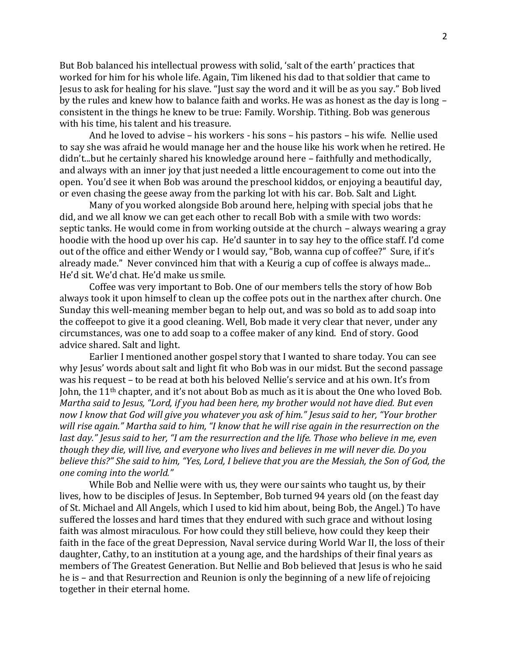But Bob balanced his intellectual prowess with solid, 'salt of the earth' practices that worked for him for his whole life. Again, Tim likened his dad to that soldier that came to Jesus to ask for healing for his slave. "Just say the word and it will be as you say." Bob lived by the rules and knew how to balance faith and works. He was as honest as the day is long – consistent in the things he knew to be true: Family. Worship. Tithing. Bob was generous with his time, his talent and his treasure.

And he loved to advise – his workers - his sons – his pastors – his wife. Nellie used to say she was afraid he would manage her and the house like his work when he retired. He didn't...but he certainly shared his knowledge around here – faithfully and methodically, and always with an inner joy that just needed a little encouragement to come out into the open. You'd see it when Bob was around the preschool kiddos, or enjoying a beautiful day, or even chasing the geese away from the parking lot with his car. Bob. Salt and Light.

Many of you worked alongside Bob around here, helping with special jobs that he did, and we all know we can get each other to recall Bob with a smile with two words: septic tanks. He would come in from working outside at the church – always wearing a gray hoodie with the hood up over his cap. He'd saunter in to say hey to the office staff. I'd come out of the office and either Wendy or I would say, "Bob, wanna cup of coffee?" Sure, if it's already made." Never convinced him that with a Keurig a cup of coffee is always made... He'd sit. We'd chat. He'd make us smile.

Coffee was very important to Bob. One of our members tells the story of how Bob always took it upon himself to clean up the coffee pots out in the narthex after church. One Sunday this well-meaning member began to help out, and was so bold as to add soap into the coffeepot to give it a good cleaning. Well, Bob made it very clear that never, under any circumstances, was one to add soap to a coffee maker of any kind. End of story. Good advice shared. Salt and light.

Earlier I mentioned another gospel story that I wanted to share today. You can see why Jesus' words about salt and light fit who Bob was in our midst. But the second passage was his request – to be read at both his beloved Nellie's service and at his own. It's from John, the 11<sup>th</sup> chapter, and it's not about Bob as much as it is about the One who loved Bob. *Martha said to Jesus, "Lord, if you had been here, my brother would not have died. But even now I know that God will give you whatever you ask of him." Jesus said to her, "Your brother will rise again." Martha said to him, "I know that he will rise again in the resurrection on the last day." Jesus said to her, "I am the resurrection and the life. Those who believe in me, even though they die, will live, and everyone who lives and believes in me will never die. Do you believe this?" She said to him, "Yes, Lord, I believe that you are the Messiah, the Son of God, the one coming into the world."*

While Bob and Nellie were with us, they were our saints who taught us, by their lives, how to be disciples of Jesus. In September, Bob turned 94 years old (on the feast day of St. Michael and All Angels, which I used to kid him about, being Bob, the Angel.) To have suffered the losses and hard times that they endured with such grace and without losing faith was almost miraculous. For how could they still believe, how could they keep their faith in the face of the great Depression, Naval service during World War II, the loss of their daughter, Cathy, to an institution at a young age, and the hardships of their final years as members of The Greatest Generation. But Nellie and Bob believed that Jesus is who he said he is – and that Resurrection and Reunion is only the beginning of a new life of rejoicing together in their eternal home.